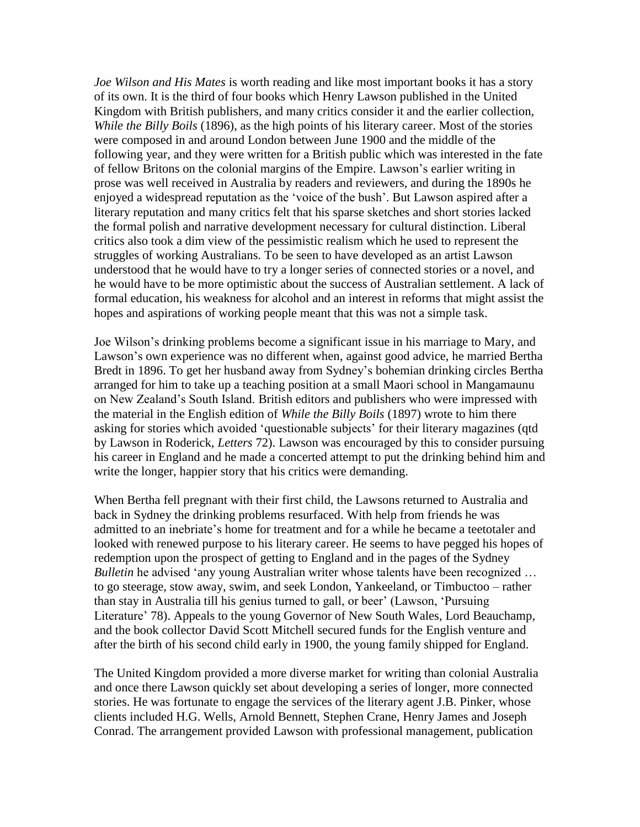*Joe Wilson and His Mates* is worth reading and like most important books it has a story of its own. It is the third of four books which Henry Lawson published in the United Kingdom with British publishers, and many critics consider it and the earlier collection, *While the Billy Boils* (1896), as the high points of his literary career. Most of the stories were composed in and around London between June 1900 and the middle of the following year, and they were written for a British public which was interested in the fate of fellow Britons on the colonial margins of the Empire. Lawson"s earlier writing in prose was well received in Australia by readers and reviewers, and during the 1890s he enjoyed a widespread reputation as the "voice of the bush". But Lawson aspired after a literary reputation and many critics felt that his sparse sketches and short stories lacked the formal polish and narrative development necessary for cultural distinction. Liberal critics also took a dim view of the pessimistic realism which he used to represent the struggles of working Australians. To be seen to have developed as an artist Lawson understood that he would have to try a longer series of connected stories or a novel, and he would have to be more optimistic about the success of Australian settlement. A lack of formal education, his weakness for alcohol and an interest in reforms that might assist the hopes and aspirations of working people meant that this was not a simple task.

Joe Wilson"s drinking problems become a significant issue in his marriage to Mary, and Lawson's own experience was no different when, against good advice, he married Bertha Bredt in 1896. To get her husband away from Sydney"s bohemian drinking circles Bertha arranged for him to take up a teaching position at a small Maori school in Mangamaunu on New Zealand"s South Island. British editors and publishers who were impressed with the material in the English edition of *While the Billy Boils* (1897) wrote to him there asking for stories which avoided "questionable subjects" for their literary magazines (qtd by Lawson in Roderick, *Letters* 72). Lawson was encouraged by this to consider pursuing his career in England and he made a concerted attempt to put the drinking behind him and write the longer, happier story that his critics were demanding.

When Bertha fell pregnant with their first child, the Lawsons returned to Australia and back in Sydney the drinking problems resurfaced. With help from friends he was admitted to an inebriate"s home for treatment and for a while he became a teetotaler and looked with renewed purpose to his literary career. He seems to have pegged his hopes of redemption upon the prospect of getting to England and in the pages of the Sydney *Bulletin* he advised 'any young Australian writer whose talents have been recognized ... to go steerage, stow away, swim, and seek London, Yankeeland, or Timbuctoo – rather than stay in Australia till his genius turned to gall, or beer" (Lawson, "Pursuing Literature' 78). Appeals to the young Governor of New South Wales, Lord Beauchamp, and the book collector David Scott Mitchell secured funds for the English venture and after the birth of his second child early in 1900, the young family shipped for England.

The United Kingdom provided a more diverse market for writing than colonial Australia and once there Lawson quickly set about developing a series of longer, more connected stories. He was fortunate to engage the services of the literary agent J.B. Pinker, whose clients included H.G. Wells, Arnold Bennett, Stephen Crane, Henry James and Joseph Conrad. The arrangement provided Lawson with professional management, publication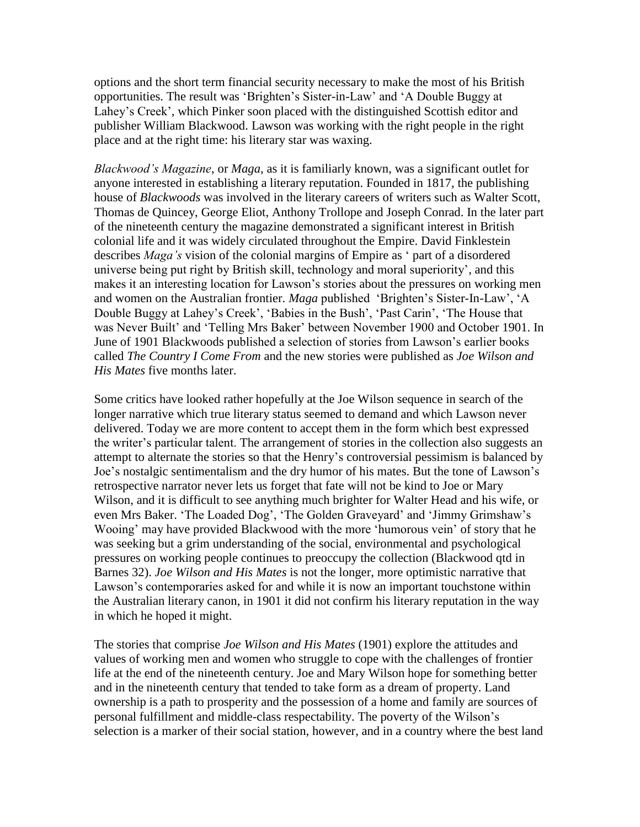options and the short term financial security necessary to make the most of his British opportunities. The result was "Brighten"s Sister-in-Law" and "A Double Buggy at Lahey"s Creek", which Pinker soon placed with the distinguished Scottish editor and publisher William Blackwood. Lawson was working with the right people in the right place and at the right time: his literary star was waxing.

*Blackwood's Magazine*, or *Maga*, as it is familiarly known, was a significant outlet for anyone interested in establishing a literary reputation. Founded in 1817, the publishing house of *Blackwoods* was involved in the literary careers of writers such as Walter Scott, Thomas de Quincey, George Eliot, Anthony Trollope and Joseph Conrad. In the later part of the nineteenth century the magazine demonstrated a significant interest in British colonial life and it was widely circulated throughout the Empire. David Finklestein describes *Maga's* vision of the colonial margins of Empire as " part of a disordered universe being put right by British skill, technology and moral superiority", and this makes it an interesting location for Lawson's stories about the pressures on working men and women on the Australian frontier. *Maga* published "Brighten"s Sister-In-Law", "A Double Buggy at Lahey's Creek', 'Babies in the Bush', 'Past Carin', 'The House that was Never Built" and "Telling Mrs Baker" between November 1900 and October 1901. In June of 1901 Blackwoods published a selection of stories from Lawson"s earlier books called *The Country I Come From* and the new stories were published as *Joe Wilson and His Mates* five months later.

Some critics have looked rather hopefully at the Joe Wilson sequence in search of the longer narrative which true literary status seemed to demand and which Lawson never delivered. Today we are more content to accept them in the form which best expressed the writer"s particular talent. The arrangement of stories in the collection also suggests an attempt to alternate the stories so that the Henry"s controversial pessimism is balanced by Joe"s nostalgic sentimentalism and the dry humor of his mates. But the tone of Lawson"s retrospective narrator never lets us forget that fate will not be kind to Joe or Mary Wilson, and it is difficult to see anything much brighter for Walter Head and his wife, or even Mrs Baker. 'The Loaded Dog', 'The Golden Graveyard' and 'Jimmy Grimshaw's Wooing" may have provided Blackwood with the more "humorous vein" of story that he was seeking but a grim understanding of the social, environmental and psychological pressures on working people continues to preoccupy the collection (Blackwood qtd in Barnes 32). *Joe Wilson and His Mates* is not the longer, more optimistic narrative that Lawson's contemporaries asked for and while it is now an important touchstone within the Australian literary canon, in 1901 it did not confirm his literary reputation in the way in which he hoped it might.

The stories that comprise *Joe Wilson and His Mates* (1901) explore the attitudes and values of working men and women who struggle to cope with the challenges of frontier life at the end of the nineteenth century. Joe and Mary Wilson hope for something better and in the nineteenth century that tended to take form as a dream of property. Land ownership is a path to prosperity and the possession of a home and family are sources of personal fulfillment and middle-class respectability. The poverty of the Wilson"s selection is a marker of their social station, however, and in a country where the best land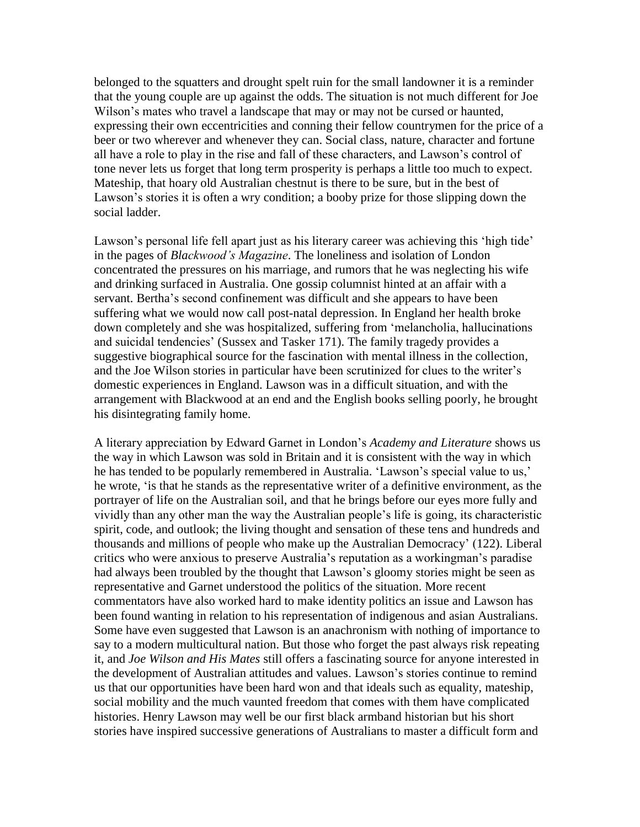belonged to the squatters and drought spelt ruin for the small landowner it is a reminder that the young couple are up against the odds. The situation is not much different for Joe Wilson's mates who travel a landscape that may or may not be cursed or haunted, expressing their own eccentricities and conning their fellow countrymen for the price of a beer or two wherever and whenever they can. Social class, nature, character and fortune all have a role to play in the rise and fall of these characters, and Lawson"s control of tone never lets us forget that long term prosperity is perhaps a little too much to expect. Mateship, that hoary old Australian chestnut is there to be sure, but in the best of Lawson"s stories it is often a wry condition; a booby prize for those slipping down the social ladder.

Lawson's personal life fell apart just as his literary career was achieving this 'high tide' in the pages of *Blackwood's Magazine*. The loneliness and isolation of London concentrated the pressures on his marriage, and rumors that he was neglecting his wife and drinking surfaced in Australia. One gossip columnist hinted at an affair with a servant. Bertha"s second confinement was difficult and she appears to have been suffering what we would now call post-natal depression. In England her health broke down completely and she was hospitalized, suffering from "melancholia, hallucinations and suicidal tendencies" (Sussex and Tasker 171). The family tragedy provides a suggestive biographical source for the fascination with mental illness in the collection, and the Joe Wilson stories in particular have been scrutinized for clues to the writer"s domestic experiences in England. Lawson was in a difficult situation, and with the arrangement with Blackwood at an end and the English books selling poorly, he brought his disintegrating family home.

A literary appreciation by Edward Garnet in London"s *Academy and Literature* shows us the way in which Lawson was sold in Britain and it is consistent with the way in which he has tended to be popularly remembered in Australia. 'Lawson's special value to us,' he wrote, "is that he stands as the representative writer of a definitive environment, as the portrayer of life on the Australian soil, and that he brings before our eyes more fully and vividly than any other man the way the Australian people"s life is going, its characteristic spirit, code, and outlook; the living thought and sensation of these tens and hundreds and thousands and millions of people who make up the Australian Democracy" (122). Liberal critics who were anxious to preserve Australia"s reputation as a workingman"s paradise had always been troubled by the thought that Lawson's gloomy stories might be seen as representative and Garnet understood the politics of the situation. More recent commentators have also worked hard to make identity politics an issue and Lawson has been found wanting in relation to his representation of indigenous and asian Australians. Some have even suggested that Lawson is an anachronism with nothing of importance to say to a modern multicultural nation. But those who forget the past always risk repeating it, and *Joe Wilson and His Mates* still offers a fascinating source for anyone interested in the development of Australian attitudes and values. Lawson"s stories continue to remind us that our opportunities have been hard won and that ideals such as equality, mateship, social mobility and the much vaunted freedom that comes with them have complicated histories. Henry Lawson may well be our first black armband historian but his short stories have inspired successive generations of Australians to master a difficult form and